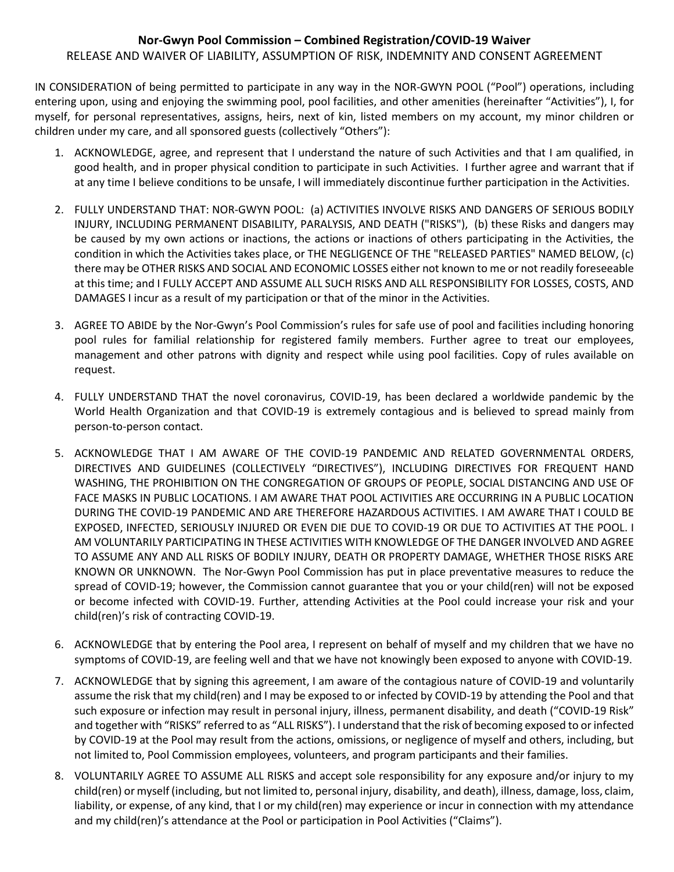## **Nor-Gwyn Pool Commission – Combined Registration/COVID-19 Waiver** RELEASE AND WAIVER OF LIABILITY, ASSUMPTION OF RISK, INDEMNITY AND CONSENT AGREEMENT

IN CONSIDERATION of being permitted to participate in any way in the NOR-GWYN POOL ("Pool") operations, including entering upon, using and enjoying the swimming pool, pool facilities, and other amenities (hereinafter "Activities"), I, for myself, for personal representatives, assigns, heirs, next of kin, listed members on my account, my minor children or children under my care, and all sponsored guests (collectively "Others"):

- 1. ACKNOWLEDGE, agree, and represent that I understand the nature of such Activities and that I am qualified, in good health, and in proper physical condition to participate in such Activities. I further agree and warrant that if at any time I believe conditions to be unsafe, I will immediately discontinue further participation in the Activities.
- 2. FULLY UNDERSTAND THAT: NOR-GWYN POOL: (a) ACTIVITIES INVOLVE RISKS AND DANGERS OF SERIOUS BODILY INJURY, INCLUDING PERMANENT DISABILITY, PARALYSIS, AND DEATH ("RISKS"), (b) these Risks and dangers may be caused by my own actions or inactions, the actions or inactions of others participating in the Activities, the condition in which the Activities takes place, or THE NEGLIGENCE OF THE "RELEASED PARTIES" NAMED BELOW, (c) there may be OTHER RISKS AND SOCIAL AND ECONOMIC LOSSES either not known to me or not readily foreseeable at this time; and I FULLY ACCEPT AND ASSUME ALL SUCH RISKS AND ALL RESPONSIBILITY FOR LOSSES, COSTS, AND DAMAGES I incur as a result of my participation or that of the minor in the Activities.
- 3. AGREE TO ABIDE by the Nor-Gwyn's Pool Commission's rules for safe use of pool and facilities including honoring pool rules for familial relationship for registered family members. Further agree to treat our employees, management and other patrons with dignity and respect while using pool facilities. Copy of rules available on request.
- 4. FULLY UNDERSTAND THAT the novel coronavirus, COVID-19, has been declared a worldwide pandemic by the World Health Organization and that COVID-19 is extremely contagious and is believed to spread mainly from person-to-person contact.
- 5. ACKNOWLEDGE THAT I AM AWARE OF THE COVID-19 PANDEMIC AND RELATED GOVERNMENTAL ORDERS, DIRECTIVES AND GUIDELINES (COLLECTIVELY "DIRECTIVES"), INCLUDING DIRECTIVES FOR FREQUENT HAND WASHING, THE PROHIBITION ON THE CONGREGATION OF GROUPS OF PEOPLE, SOCIAL DISTANCING AND USE OF FACE MASKS IN PUBLIC LOCATIONS. I AM AWARE THAT POOL ACTIVITIES ARE OCCURRING IN A PUBLIC LOCATION DURING THE COVID-19 PANDEMIC AND ARE THEREFORE HAZARDOUS ACTIVITIES. I AM AWARE THAT I COULD BE EXPOSED, INFECTED, SERIOUSLY INJURED OR EVEN DIE DUE TO COVID-19 OR DUE TO ACTIVITIES AT THE POOL. I AM VOLUNTARILY PARTICIPATING IN THESE ACTIVITIES WITH KNOWLEDGE OF THE DANGER INVOLVED AND AGREE TO ASSUME ANY AND ALL RISKS OF BODILY INJURY, DEATH OR PROPERTY DAMAGE, WHETHER THOSE RISKS ARE KNOWN OR UNKNOWN. The Nor-Gwyn Pool Commission has put in place preventative measures to reduce the spread of COVID-19; however, the Commission cannot guarantee that you or your child(ren) will not be exposed or become infected with COVID-19. Further, attending Activities at the Pool could increase your risk and your child(ren)'s risk of contracting COVID-19.
- 6. ACKNOWLEDGE that by entering the Pool area, I represent on behalf of myself and my children that we have no symptoms of COVID-19, are feeling well and that we have not knowingly been exposed to anyone with COVID-19.
- 7. ACKNOWLEDGE that by signing this agreement, I am aware of the contagious nature of COVID-19 and voluntarily assume the risk that my child(ren) and I may be exposed to or infected by COVID-19 by attending the Pool and that such exposure or infection may result in personal injury, illness, permanent disability, and death ("COVID-19 Risk" and together with "RISKS" referred to as "ALL RISKS"). I understand that the risk of becoming exposed to or infected by COVID-19 at the Pool may result from the actions, omissions, or negligence of myself and others, including, but not limited to, Pool Commission employees, volunteers, and program participants and their families.
- 8. VOLUNTARILY AGREE TO ASSUME ALL RISKS and accept sole responsibility for any exposure and/or injury to my child(ren) or myself (including, but not limited to, personal injury, disability, and death), illness, damage, loss, claim, liability, or expense, of any kind, that I or my child(ren) may experience or incur in connection with my attendance and my child(ren)'s attendance at the Pool or participation in Pool Activities ("Claims").